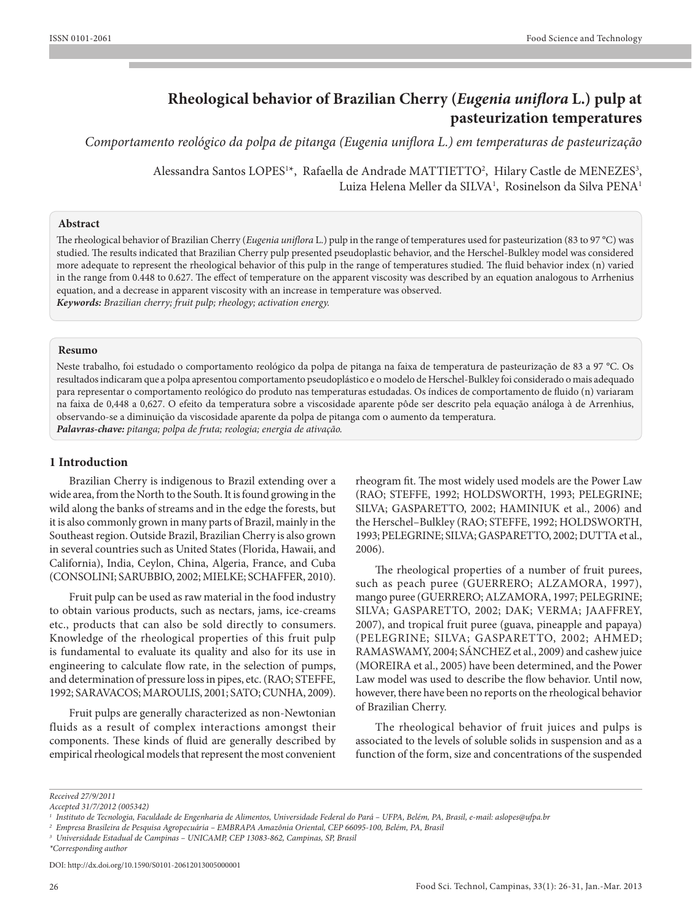# **Rheological behavior of Brazilian Cherry (***Eugenia uniflora* **L.) pulp at pasteurization temperatures**

*Comportamento reológico da polpa de pitanga (Eugenia uniflora L.) em temperaturas de pasteurização*

Alessandra Santos LOPES<sup>1\*</sup>, Rafaella de Andrade MATTIETTO<sup>2</sup>, Hilary Castle de MENEZES<sup>3</sup>, Luiza Helena Meller da SILVA<sup>1</sup>, Rosinelson da Silva PENA<sup>1</sup>

## **Abstract**

The rheological behavior of Brazilian Cherry (*Eugenia uniflora* L.) pulp in the range of temperatures used for pasteurization (83 to 97 °C) was studied. The results indicated that Brazilian Cherry pulp presented pseudoplastic behavior, and the Herschel-Bulkley model was considered more adequate to represent the rheological behavior of this pulp in the range of temperatures studied. The fluid behavior index (n) varied in the range from 0.448 to 0.627. The effect of temperature on the apparent viscosity was described by an equation analogous to Arrhenius equation, and a decrease in apparent viscosity with an increase in temperature was observed. *Keywords: Brazilian cherry; fruit pulp; rheology; activation energy.*

## **Resumo**

Neste trabalho, foi estudado o comportamento reológico da polpa de pitanga na faixa de temperatura de pasteurização de 83 a 97 °C. Os resultados indicaram que a polpa apresentou comportamento pseudoplástico e o modelo de Herschel-Bulkley foi considerado o mais adequado para representar o comportamento reológico do produto nas temperaturas estudadas. Os índices de comportamento de fluido (n) variaram na faixa de 0,448 a 0,627. O efeito da temperatura sobre a viscosidade aparente pôde ser descrito pela equação análoga à de Arrenhius, observando-se a diminuição da viscosidade aparente da polpa de pitanga com o aumento da temperatura.

*Palavras-chave: pitanga; polpa de fruta; reologia; energia de ativação.*

# **1 Introduction**

Brazilian Cherry is indigenous to Brazil extending over a wide area, from the North to the South. It is found growing in the wild along the banks of streams and in the edge the forests, but it is also commonly grown in many parts of Brazil, mainly in the Southeast region. Outside Brazil, Brazilian Cherry is also grown in several countries such as United States (Florida, Hawaii, and California), India, Ceylon, China, Algeria, France, and Cuba (CONSOLINI; SARUBBIO, 2002; MIELKE; SCHAFFER, 2010).

Fruit pulp can be used as raw material in the food industry to obtain various products, such as nectars, jams, ice-creams etc., products that can also be sold directly to consumers. Knowledge of the rheological properties of this fruit pulp is fundamental to evaluate its quality and also for its use in engineering to calculate flow rate, in the selection of pumps, and determination of pressure loss in pipes, etc. (RAO; STEFFE, 1992; SARAVACOS; MAROULIS, 2001; SATO; CUNHA, 2009).

Fruit pulps are generally characterized as non-Newtonian fluids as a result of complex interactions amongst their components. These kinds of fluid are generally described by empirical rheological models that represent the most convenient

rheogram fit. The most widely used models are the Power Law (RAO; STEFFE, 1992; HOLDSWORTH, 1993; PELEGRINE; SILVA; GASPARETTO, 2002; HAMINIUK et al., 2006) and the Herschel–Bulkley (RAO; STEFFE, 1992; HOLDSWORTH, 1993; PELEGRINE; SILVA; GASPARETTO, 2002; DUTTA et al., 2006).

The rheological properties of a number of fruit purees, such as peach puree (GUERRERO; ALZAMORA, 1997), mango puree (GUERRERO; ALZAMORA, 1997; PELEGRINE; SILVA; GASPARETTO, 2002; DAK; VERMA; JAAFFREY, 2007), and tropical fruit puree (guava, pineapple and papaya) (PELEGRINE; SILVA; GASPARETTO, 2002; AHMED; RAMASWAMY, 2004; SÁNCHEZ et al., 2009) and cashew juice (MOREIRA et al., 2005) have been determined, and the Power Law model was used to describe the flow behavior. Until now, however, there have been no reports on the rheological behavior of Brazilian Cherry.

The rheological behavior of fruit juices and pulps is associated to the levels of soluble solids in suspension and as a function of the form, size and concentrations of the suspended

*\*Corresponding author*

DDOI: http://dx.doi.org/10.1590/S0101-20612013005000001

*Received 27/9/2011*

*Accepted 31/7/2012 (005342)*

*<sup>1</sup> Instituto de Tecnologia, Faculdade de Engenharia de Alimentos, Universidade Federal do Pará – UFPA, Belém, PA, Brasil, e-mail: aslopes@ufpa.br*

*<sup>2</sup> Empresa Brasileira de Pesquisa Agropecuária – EMBRAPA Amazônia Oriental, CEP 66095-100, Belém, PA, Brasil*

*<sup>3</sup> Universidade Estadual de Campinas – UNICAMP, CEP 13083-862, Campinas, SP, Brasil*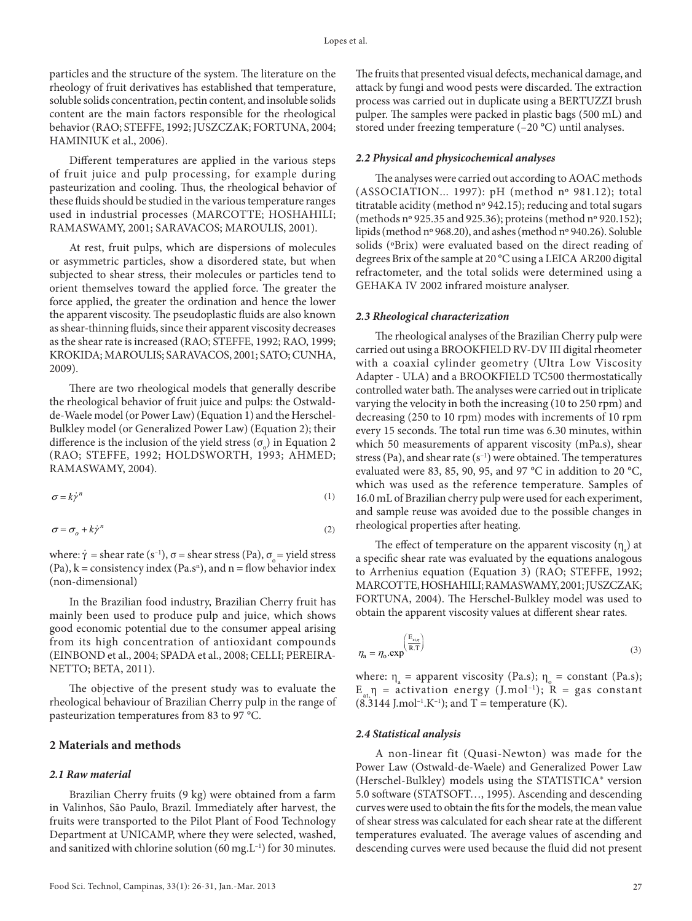particles and the structure of the system. The literature on the rheology of fruit derivatives has established that temperature, soluble solids concentration, pectin content, and insoluble solids content are the main factors responsible for the rheological behavior (RAO; STEFFE, 1992; JUSZCZAK; FORTUNA, 2004; HAMINIUK et al., 2006).

Different temperatures are applied in the various steps of fruit juice and pulp processing, for example during pasteurization and cooling. Thus, the rheological behavior of these fluids should be studied in the various temperature ranges used in industrial processes (MARCOTTE; HOSHAHILI; RAMASWAMY, 2001; SARAVACOS; MAROULIS, 2001).

At rest, fruit pulps, which are dispersions of molecules or asymmetric particles, show a disordered state, but when subjected to shear stress, their molecules or particles tend to orient themselves toward the applied force. The greater the force applied, the greater the ordination and hence the lower the apparent viscosity. The pseudoplastic fluids are also known as shear-thinning fluids, since their apparent viscosity decreases as the shear rate is increased (RAO; STEFFE, 1992; RAO, 1999; KROKIDA; MAROULIS; SARAVACOS, 2001; SATO; CUNHA, 2009).

There are two rheological models that generally describe the rheological behavior of fruit juice and pulps: the Ostwaldde-Waele model (or Power Law) (Equation 1) and the Herschel-Bulkley model (or Generalized Power Law) (Equation 2); their difference is the inclusion of the yield stress  $(\sigma_{\text{o}})$  in Equation 2 (RAO; STEFFE, 1992; HOLDSWORTH, 1993; AHMED; RAMASWAMY, 2004).

$$
\sigma = k\dot{\gamma}^n \tag{1}
$$

$$
\sigma = \sigma_o + k \dot{\gamma}^n \tag{2}
$$

where:  $\dot{\gamma}$  = shear rate (s<sup>-1</sup>), σ = shear stress (Pa), σ = yield stress  $(Pa)$ ,  $k = \text{consistency index} (Pa.s^n)$ , and  $n = \text{flow behavior index}$ (non-dimensional)

In the Brazilian food industry, Brazilian Cherry fruit has mainly been used to produce pulp and juice, which shows good economic potential due to the consumer appeal arising from its high concentration of antioxidant compounds (EINBOND et al., 2004; SPADA et al., 2008; CELLI; PEREIRA-NETTO; BETA, 2011).

The objective of the present study was to evaluate the rheological behaviour of Brazilian Cherry pulp in the range of pasteurization temperatures from 83 to 97 °C.

### **2 Materials and methods**

#### *2.1 Raw material*

Brazilian Cherry fruits (9 kg) were obtained from a farm in Valinhos, São Paulo, Brazil. Immediately after harvest, the fruits were transported to the Pilot Plant of Food Technology Department at UNICAMP, where they were selected, washed, and sanitized with chlorine solution (60 mg. $L^{-1}$ ) for 30 minutes. The fruits that presented visual defects, mechanical damage, and attack by fungi and wood pests were discarded. The extraction process was carried out in duplicate using a BERTUZZI brush pulper. The samples were packed in plastic bags (500 mL) and stored under freezing temperature (–20 °C) until analyses.

#### *2.2 Physical and physicochemical analyses*

The analyses were carried out according to AOAC methods (ASSOCIATION... 1997): pH (method nº 981.12); total titratable acidity (method nº 942.15); reducing and total sugars (methods nº 925.35 and 925.36); proteins (method nº 920.152); lipids (method nº 968.20), and ashes (method nº 940.26). Soluble solids (ºBrix) were evaluated based on the direct reading of degrees Brix of the sample at 20 °C using a LEICA AR200 digital refractometer, and the total solids were determined using a GEHAKA IV 2002 infrared moisture analyser.

#### *2.3 Rheological characterization*

The rheological analyses of the Brazilian Cherry pulp were carried out using a BROOKFIELD RV-DV III digital rheometer with a coaxial cylinder geometry (Ultra Low Viscosity Adapter - ULA) and a BROOKFIELD TC500 thermostatically controlled water bath. The analyses were carried out in triplicate varying the velocity in both the increasing (10 to 250 rpm) and decreasing (250 to 10 rpm) modes with increments of 10 rpm every 15 seconds. The total run time was 6.30 minutes, within which 50 measurements of apparent viscosity (mPa.s), shear stress (Pa), and shear rate  $(s^{-1})$  were obtained. The temperatures evaluated were 83, 85, 90, 95, and 97 °C in addition to 20 °C, which was used as the reference temperature. Samples of 16.0 mL of Brazilian cherry pulp were used for each experiment, and sample reuse was avoided due to the possible changes in rheological properties after heating.

The effect of temperature on the apparent viscosity  $(\eta_a)$  at a specific shear rate was evaluated by the equations analogous to Arrhenius equation (Equation 3) (RAO; STEFFE, 1992; MARCOTTE, HOSHAHILI; RAMASWAMY, 2001; JUSZCZAK; FORTUNA, 2004). The Herschel-Bulkley model was used to obtain the apparent viscosity values at different shear rates.

$$
\eta_{\rm a} = \eta_{\rm o}.\exp\left(\frac{\mathbf{E}_{\rm u,q}}{\mathbf{R}.\mathbf{T}}\right) \tag{3}
$$

where:  $\eta_a$  = apparent viscosity (Pa.s);  $\eta_o$  = constant (Pa.s);  $E_{at} \eta$  = activation energy (J.mol<sup>-1</sup>); R = gas constant  $(8.3144 \text{ J.mol}^{-1} \text{K}^{-1})$ ; and T = temperature (K).

#### *2.4 Statistical analysis*

A non-linear fit (Quasi-Newton) was made for the Power Law (Ostwald-de-Waele) and Generalized Power Law (Herschel-Bulkley) models using the STATISTICA® version 5.0 software (STATSOFT…, 1995). Ascending and descending curves were used to obtain the fits for the models, the mean value of shear stress was calculated for each shear rate at the different temperatures evaluated. The average values of ascending and descending curves were used because the fluid did not present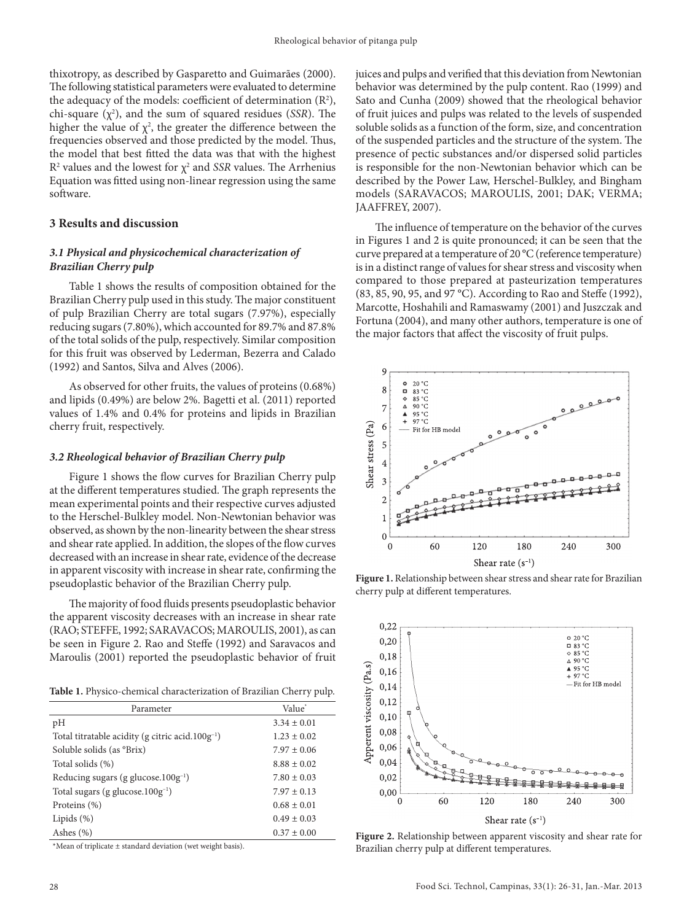thixotropy, as described by Gasparetto and Guimarães (2000). The following statistical parameters were evaluated to determine the adequacy of the models: coefficient of determination  $(R^2)$ , chi-square  $(\chi^2)$ , and the sum of squared residues (*SSR*). The higher the value of  $\chi^2$ , the greater the difference between the frequencies observed and those predicted by the model. Thus, the model that best fitted the data was that with the highest  $R<sup>2</sup>$  values and the lowest for  $\chi<sup>2</sup>$  and *SSR* values. The Arrhenius Equation was fitted using non-linear regression using the same software.

## **3 Results and discussion**

# *3.1 Physical and physicochemical characterization of Brazilian Cherry pulp*

Table 1 shows the results of composition obtained for the Brazilian Cherry pulp used in this study. The major constituent of pulp Brazilian Cherry are total sugars (7.97%), especially reducing sugars (7.80%), which accounted for 89.7% and 87.8% of the total solids of the pulp, respectively. Similar composition for this fruit was observed by Lederman, Bezerra and Calado (1992) and Santos, Silva and Alves (2006).

As observed for other fruits, the values of proteins (0.68%) and lipids (0.49%) are below 2%. Bagetti et al. (2011) reported values of 1.4% and 0.4% for proteins and lipids in Brazilian cherry fruit, respectively.

## *3.2 Rheological behavior of Brazilian Cherry pulp*

Figure 1 shows the flow curves for Brazilian Cherry pulp at the different temperatures studied. The graph represents the mean experimental points and their respective curves adjusted to the Herschel-Bulkley model. Non-Newtonian behavior was observed, as shown by the non-linearity between the shear stress and shear rate applied. In addition, the slopes of the flow curves decreased with an increase in shear rate, evidence of the decrease in apparent viscosity with increase in shear rate, confirming the pseudoplastic behavior of the Brazilian Cherry pulp.

The majority of food fluids presents pseudoplastic behavior the apparent viscosity decreases with an increase in shear rate (RAO; STEFFE, 1992; SARAVACOS; MAROULIS, 2001), as can be seen in Figure 2. Rao and Steffe (1992) and Saravacos and Maroulis (2001) reported the pseudoplastic behavior of fruit

**Table 1.** Physico-chemical characterization of Brazilian Cherry pulp.

| Parameter                                              | Value <sup>*</sup> |  |
|--------------------------------------------------------|--------------------|--|
| pH                                                     | $3.34 \pm 0.01$    |  |
| Total titratable acidity (g citric acid. $100g^{-1}$ ) | $1.23 \pm 0.02$    |  |
| Soluble solids (as °Brix)                              | $7.97 \pm 0.06$    |  |
| Total solids (%)                                       | $8.88 \pm 0.02$    |  |
| Reducing sugars (g glucose. $100g^{-1}$ )              | $7.80 \pm 0.03$    |  |
| Total sugars (g glucose.100g <sup>-1</sup> )           | $7.97 \pm 0.13$    |  |
| Proteins (%)                                           | $0.68 \pm 0.01$    |  |
| Lipids $(\%)$                                          | $0.49 \pm 0.03$    |  |
| Ashes $(\% )$                                          | $0.37 \pm 0.00$    |  |

\*Mean of triplicate ± standard deviation (wet weight basis).

juices and pulps and verified that this deviation from Newtonian behavior was determined by the pulp content. Rao (1999) and Sato and Cunha (2009) showed that the rheological behavior of fruit juices and pulps was related to the levels of suspended soluble solids as a function of the form, size, and concentration of the suspended particles and the structure of the system. The presence of pectic substances and/or dispersed solid particles is responsible for the non-Newtonian behavior which can be described by the Power Law, Herschel-Bulkley, and Bingham models (SARAVACOS; MAROULIS, 2001; DAK; VERMA; JAAFFREY, 2007).

The influence of temperature on the behavior of the curves in Figures 1 and 2 is quite pronounced; it can be seen that the curve prepared at a temperature of 20 °C (reference temperature) is in a distinct range of values for shear stress and viscosity when compared to those prepared at pasteurization temperatures (83, 85, 90, 95, and 97 °C). According to Rao and Steffe (1992), Marcotte, Hoshahili and Ramaswamy (2001) and Juszczak and Fortuna (2004), and many other authors, temperature is one of the major factors that affect the viscosity of fruit pulps.



**Figure 1.** Relationship between shear stress and shear rate for Brazilian cherry pulp at different temperatures.



**Figure 2.** Relationship between apparent viscosity and shear rate for Brazilian cherry pulp at different temperatures.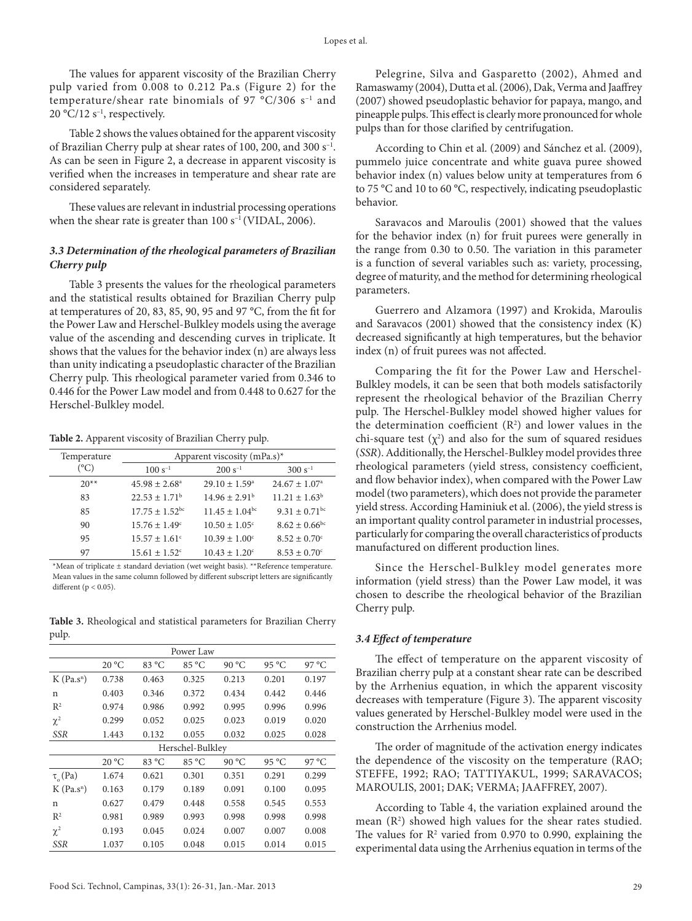The values for apparent viscosity of the Brazilian Cherry pulp varied from 0.008 to 0.212 Pa.s (Figure 2) for the temperature/shear rate binomials of 97  $^{\circ}$ C/306 s<sup>-1</sup> and 20 °C/12  $s^{-1}$ , respectively.

Table 2 shows the values obtained for the apparent viscosity of Brazilian Cherry pulp at shear rates of 100, 200, and 300 s–1. As can be seen in Figure 2, a decrease in apparent viscosity is verified when the increases in temperature and shear rate are considered separately.

These values are relevant in industrial processing operations when the shear rate is greater than  $100 s^{-1}$  (VIDAL, 2006).

## *3.3 Determination of the rheological parameters of Brazilian Cherry pulp*

Table 3 presents the values for the rheological parameters and the statistical results obtained for Brazilian Cherry pulp at temperatures of 20, 83, 85, 90, 95 and 97 °C, from the fit for the Power Law and Herschel-Bulkley models using the average value of the ascending and descending curves in triplicate. It shows that the values for the behavior index (n) are always less than unity indicating a pseudoplastic character of the Brazilian Cherry pulp. This rheological parameter varied from 0.346 to 0.446 for the Power Law model and from 0.448 to 0.627 for the Herschel-Bulkley model.

**Table 2.** Apparent viscosity of Brazilian Cherry pulp.

| Temperature | Apparent viscosity $(mPa.s)^*$ |                                |                               |  |
|-------------|--------------------------------|--------------------------------|-------------------------------|--|
| (°C)        | $100 s^{-1}$                   | $200 s^{-1}$                   | $300 s^{-1}$                  |  |
| $20**$      | $45.98 \pm 2.68^{\circ}$       | $29.10 \pm 1.59^{\circ}$       | $24.67 \pm 1.07^{\circ}$      |  |
| 83          | $22.53 \pm 1.71^b$             | $14.96 \pm 2.91^{\circ}$       | $11.21 \pm 1.63^b$            |  |
| 85          | $17.75 + 1.52$ <sup>bc</sup>   | $11.45 \pm 1.04$ <sup>bc</sup> | $9.31 \pm 0.71$ <sup>bc</sup> |  |
| 90          | $15.76 \pm 1.49$ <sup>c</sup>  | $10.50 \pm 1.05$ <sup>c</sup>  | $8.62 \pm 0.66$ <sup>bc</sup> |  |
| 95          | $15.57 \pm 1.61$ <sup>c</sup>  | $10.39 \pm 1.00^{\circ}$       | $8.52 \pm 0.70$ <sup>c</sup>  |  |
| 97          | $15.61 \pm 1.52$ <sup>c</sup>  | $10.43 \pm 1.20^{\circ}$       | $8.53 \pm 0.70^{\circ}$       |  |

\*Mean of triplicate ± standard deviation (wet weight basis). \*\*Reference temperature. Mean values in the same column followed by different subscript letters are significantly different ( $p < 0.05$ ).

**Table 3.** Rheological and statistical parameters for Brazilian Cherry pulp.

| Power Law                |       |       |       |       |       |       |
|--------------------------|-------|-------|-------|-------|-------|-------|
|                          | 20 °C | 83 °C | 85 °C | 90 °C | 95 °C | 97 °C |
| $K$ (Pa.s <sup>n</sup> ) | 0.738 | 0.463 | 0.325 | 0.213 | 0.201 | 0.197 |
| n                        | 0.403 | 0.346 | 0.372 | 0.434 | 0.442 | 0.446 |
| R <sup>2</sup>           | 0.974 | 0.986 | 0.992 | 0.995 | 0.996 | 0.996 |
| $\chi^2$                 | 0.299 | 0.052 | 0.025 | 0.023 | 0.019 | 0.020 |
| <b>SSR</b>               | 1.443 | 0.132 | 0.055 | 0.032 | 0.025 | 0.028 |
| Herschel-Bulkley         |       |       |       |       |       |       |
|                          | 20 °C | 83 °C | 85 °C | 90 °C | 95 °C | 97 °C |
| $\tau$ <sub>o</sub> (Pa) | 1.674 | 0.621 | 0.301 | 0.351 | 0.291 | 0.299 |
| $K$ (Pa.s <sup>n</sup> ) | 0.163 | 0.179 | 0.189 | 0.091 | 0.100 | 0.095 |
| n                        | 0.627 | 0.479 | 0.448 | 0.558 | 0.545 | 0.553 |
| $\mathbb{R}^2$           | 0.981 | 0.989 | 0.993 | 0.998 | 0.998 | 0.998 |
| $\chi^2$                 | 0.193 | 0.045 | 0.024 | 0.007 | 0.007 | 0.008 |
| <b>SSR</b>               | 1.037 | 0.105 | 0.048 | 0.015 | 0.014 | 0.015 |

Pelegrine, Silva and Gasparetto (2002), Ahmed and Ramaswamy (2004), Dutta et al. (2006), Dak, Verma and Jaaffrey (2007) showed pseudoplastic behavior for papaya, mango, and pineapple pulps. This effect is clearly more pronounced for whole pulps than for those clarified by centrifugation.

According to Chin et al. (2009) and Sánchez et al. (2009), pummelo juice concentrate and white guava puree showed behavior index (n) values below unity at temperatures from 6 to 75 °C and 10 to 60 °C, respectively, indicating pseudoplastic behavior.

Saravacos and Maroulis (2001) showed that the values for the behavior index (n) for fruit purees were generally in the range from 0.30 to 0.50. The variation in this parameter is a function of several variables such as: variety, processing, degree of maturity, and the method for determining rheological parameters.

Guerrero and Alzamora (1997) and Krokida, Maroulis and Saravacos (2001) showed that the consistency index (K) decreased significantly at high temperatures, but the behavior index (n) of fruit purees was not affected.

Comparing the fit for the Power Law and Herschel-Bulkley models, it can be seen that both models satisfactorily represent the rheological behavior of the Brazilian Cherry pulp. The Herschel-Bulkley model showed higher values for the determination coefficient  $(R^2)$  and lower values in the chi-square test  $(\chi^2)$  and also for the sum of squared residues (*SSR*). Additionally, the Herschel-Bulkley model provides three rheological parameters (yield stress, consistency coefficient, and flow behavior index), when compared with the Power Law model (two parameters), which does not provide the parameter yield stress. According Haminiuk et al. (2006), the yield stress is an important quality control parameter in industrial processes, particularly for comparing the overall characteristics of products manufactured on different production lines.

Since the Herschel-Bulkley model generates more information (yield stress) than the Power Law model, it was chosen to describe the rheological behavior of the Brazilian Cherry pulp.

## *3.4 Effect of temperature*

The effect of temperature on the apparent viscosity of Brazilian cherry pulp at a constant shear rate can be described by the Arrhenius equation, in which the apparent viscosity decreases with temperature (Figure 3). The apparent viscosity values generated by Herschel-Bulkley model were used in the construction the Arrhenius model.

The order of magnitude of the activation energy indicates the dependence of the viscosity on the temperature (RAO; STEFFE, 1992; RAO; TATTIYAKUL, 1999; SARAVACOS; MAROULIS, 2001; DAK; VERMA; JAAFFREY, 2007).

According to Table 4, the variation explained around the mean  $(R^2)$  showed high values for the shear rates studied. The values for  $R^2$  varied from 0.970 to 0.990, explaining the experimental data using the Arrhenius equation in terms of the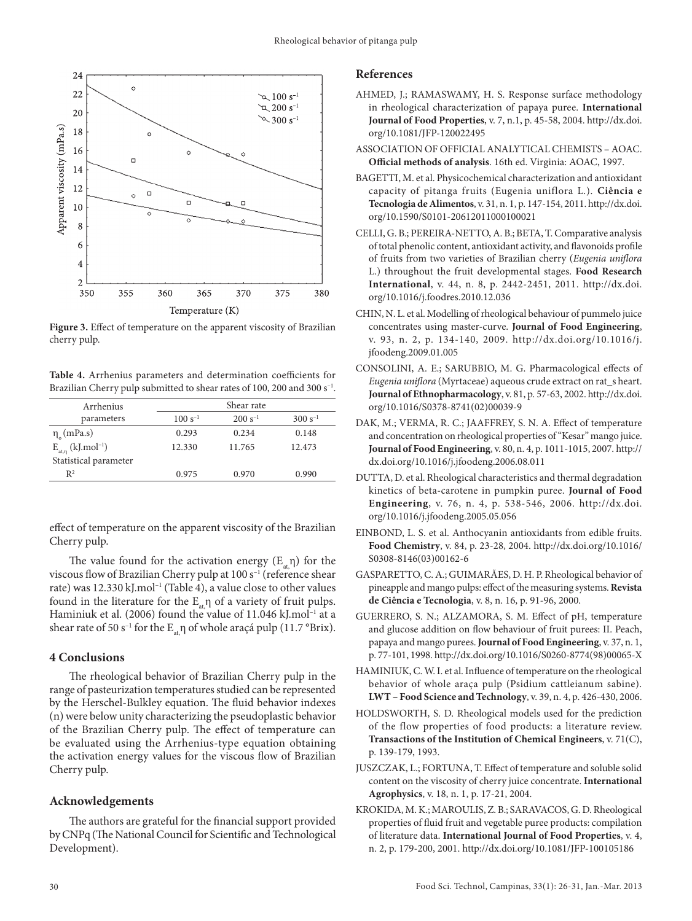

**Figure 3.** Effect of temperature on the apparent viscosity of Brazilian cherry pulp.

**Table 4.** Arrhenius parameters and determination coefficients for Brazilian Cherry pulp submitted to shear rates of 100, 200 and 300 s<sup>-1</sup>.

| Arrhenius                             |              | Shear rate   |              |
|---------------------------------------|--------------|--------------|--------------|
| parameters                            | $100 s^{-1}$ | $200 s^{-1}$ | $300 s^{-1}$ |
| $\eta_c$ (mPa.s)                      | 0.293        | 0.234        | 0.148        |
| $E_{at,\eta}$ (kJ.mol <sup>-1</sup> ) | 12.330       | 11.765       | 12.473       |
| Statistical parameter                 |              |              |              |
| $\mathbb{R}^2$                        | 0.975        | 0.970        | 0.990        |

effect of temperature on the apparent viscosity of the Brazilian Cherry pulp.

The value found for the activation energy  $(E_{\alpha} \eta)$  for the viscous flow of Brazilian Cherry pulp at 100 s<sup>-1</sup> (reference shear rate) was 12.330 kJ.mol<sup>-1</sup> (Table 4), a value close to other values found in the literature for the  $E_{at}$ η of a variety of fruit pulps. Haminiuk et al. (2006) found the value of 11.046 kJ.mol<sup>-1</sup> at a shear rate of 50 s<sup>-1</sup> for the  $E_{a}$ η of whole araçá pulp (11.7 °Brix).

# **4 Conclusions**

The rheological behavior of Brazilian Cherry pulp in the range of pasteurization temperatures studied can be represented by the Herschel-Bulkley equation. The fluid behavior indexes (n) were below unity characterizing the pseudoplastic behavior of the Brazilian Cherry pulp. The effect of temperature can be evaluated using the Arrhenius-type equation obtaining the activation energy values for the viscous flow of Brazilian Cherry pulp.

## **Acknowledgements**

The authors are grateful for the financial support provided by CNPq (The National Council for Scientific and Technological Development).

## **References**

- AHMED, J.; RAMASWAMY, H. S. Response surface methodology in rheological characterization of papaya puree. **International Journal of Food Properties**, v. 7, n.1, p. 45-58, 2004. [http://dx.doi.](http://dx.doi.org/10.1081/JFP-120022495) [org/10.1081/JFP-120022495](http://dx.doi.org/10.1081/JFP-120022495)
- ASSOCIATION OF OFFICIAL ANALYTICAL CHEMISTS AOAC. **Official methods of analysis**. 16th ed. Virginia: AOAC, 1997.
- BAGETTI, M. et al. Physicochemical characterization and antioxidant capacity of pitanga fruits (Eugenia uniflora L.). **Ciência e Tecnologia de Alimentos**, v. 31, n. 1, p. 147-154, 2011. [http://dx.doi.](http://dx.doi.org/10.1590/S0101-20612011000100021) [org/10.1590/S0101-20612011000100021](http://dx.doi.org/10.1590/S0101-20612011000100021)
- CELLI, G. B.; PEREIRA-NETTO, A. B.; BETA, T. Comparative analysis of total phenolic content, antioxidant activity, and flavonoids profile of fruits from two varieties of Brazilian cherry (*Eugenia uniflora* L.) throughout the fruit developmental stages. **Food Research International**, v. 44, n. 8, p. 2442-2451, 2011. [http://dx.doi.](http://dx.doi.org/10.1016/j.foodres.2010.12.036) [org/10.1016/j.foodres.2010.12.036](http://dx.doi.org/10.1016/j.foodres.2010.12.036)
- CHIN, N. L. et al. Modelling of rheological behaviour of pummelo juice concentrates using master-curve. **Journal of Food Engineering**, v. 93, n. 2, p. 134-140, 2009. [http://dx.doi.org/10.1016/j.](http://dx.doi.org/10.1016/j.jfoodeng.2009.01.005) [jfoodeng.2009.01.005](http://dx.doi.org/10.1016/j.jfoodeng.2009.01.005)
- CONSOLINI, A. E.; SARUBBIO, M. G. Pharmacological effects of *Eugenia uniflora* (Myrtaceae) aqueous crude extract on rat\_s heart. **Journal of Ethnopharmacology**, v. 81, p. 57-63, 2002. [http://dx.doi.](http://dx.doi.org/10.1016/S0378-8741(02)00039-9) [org/10.1016/S0378-8741\(02\)00039-9](http://dx.doi.org/10.1016/S0378-8741(02)00039-9)
- DAK, M.; VERMA, R. C.; JAAFFREY, S. N. A. Effect of temperature and concentration on rheological properties of "Kesar" mango juice. **Journal of Food Engineering**, v. 80, n. 4, p. 1011-1015, 2007. [http://](http://dx.doi.org/10.1016/j.jfoodeng.2006.08.011) [dx.doi.org/10.1016/j.jfoodeng.2006.08.011](http://dx.doi.org/10.1016/j.jfoodeng.2006.08.011)
- DUTTA, D. et al. Rheological characteristics and thermal degradation kinetics of beta-carotene in pumpkin puree. **Journal of Food Engineering**, v. 76, n. 4, p. 538-546, 2006. [http://dx.doi.](http://dx.doi.org/10.1016/j.jfoodeng.2005.05.056) [org/10.1016/j.jfoodeng.2005.05.056](http://dx.doi.org/10.1016/j.jfoodeng.2005.05.056)
- EINBOND, L. S. et al. Anthocyanin antioxidants from edible fruits. **Food Chemistry**, v. 84, p. 23-28, 2004. [http://dx.doi.org/10.1016/](http://dx.doi.org/10.1016/S0308-8146(03)00162-6) [S0308-8146\(03\)00162-6](http://dx.doi.org/10.1016/S0308-8146(03)00162-6)
- GASPARETTO, C. A.; GUIMARÃES, D. H. P. Rheological behavior of pineapple and mango pulps: effect of the measuring systems. **Revista de Ciência e Tecnologia**, v. 8, n. 16, p. 91-96, 2000.
- GUERRERO, S. N.; ALZAMORA, S. M. Effect of pH, temperature and glucose addition on flow behaviour of fruit purees: II. Peach, papaya and mango purees. **Journal of Food Engineering**, v. 37, n. 1, p. 77-101, 1998. [http://dx.doi.org/10.1016/S0260-8774\(98\)00065-X](http://dx.doi.org/10.1016/S0260-8774(98)00065-X)
- HAMINIUK, C. W. I. et al. Influence of temperature on the rheological behavior of whole araça pulp (Psidium cattleianum sabine). **LWT – Food Science and Technology**, v. 39, n. 4, p. 426-430, 2006.
- HOLDSWORTH, S. D. Rheological models used for the prediction of the flow properties of food products: a literature review. **Transactions of the Institution of Chemical Engineers**, v. 71(C), p. 139-179, 1993.
- JUSZCZAK, L.; FORTUNA, T. Effect of temperature and soluble solid content on the viscosity of cherry juice concentrate. **International Agrophysics**, v. 18, n. 1, p. 17-21, 2004.
- KROKIDA, M. K.; MAROULIS, Z. B.; SARAVACOS, G. D. Rheological properties of fluid fruit and vegetable puree products: compilation of literature data. **International Journal of Food Properties**, v. 4, n. 2, p. 179-200, 2001.<http://dx.doi.org/10.1081/JFP-100105186>